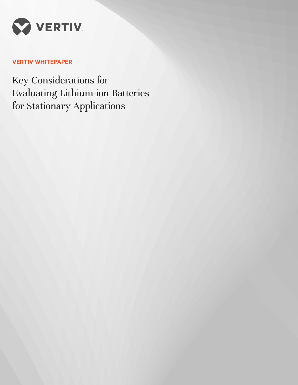

# **VERTIV WHITEPAPER**

Key Considerations for Evaluating Lithium-ion Batteries for Stationary Applications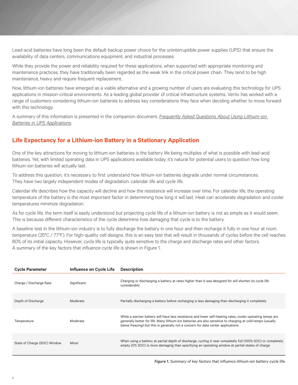Lead-acid batteries have long been the default backup power choice for the uninterruptible power supplies (UPS) that ensure the availability of data centers, communications equipment, and industrial processes.

While they provide the power and reliability required for these applications, when supported with appropriate monitoring and maintenance practices, they have traditionally been regarded as the weak link in the critical power chain. They tend to be high maintenance, heavy and require frequent replacement.

Now, lithium-ion batteries have emerged as a viable alternative and a growing number of users are evaluating this technology for UPS applications in mission-critical environments. As a leading global provider of critical infrastructure systems, Vertiv has worked with a range of customers considering lithium-ion batteries to address key considerations they face when deciding whether to move forward with this technology.

A summary of this information is presented in the companion document, *Frequently Asked Questions About Using Lithium-ion Batteries in UPS Applications*.

## **Life Expectancy for a Lithium-ion Battery in a Stationary Application**

One of the key attractions for moving to lithium-ion batteries is the battery life being multiples of what is possible with lead-acid batteries. Yet, with limited operating data in UPS applications available today, it's natural for potential users to question how long lithium-ion batteries will actually last.

To address this question, it's necessary to first understand how lithium-ion batteries degrade under normal circumstances. They have two largely independent modes of degradation: *calendar life* and *cycle life*.

Calendar life describes how the capacity will decline and how the resistance will increase over time. For calendar life, the operating temperature of the battery is the most important factor in determining how long it will last. Heat can accelerate degradation and cooler temperatures minimize degradation.

As for cycle life, the term itself is easily understood but projecting cycle life of a lithium-ion battery is not as simple as it would seem. This is because different characteristics of the cycle determine how damaging that cycle is to the battery.

A baseline test in the lithium-ion industry is to fully discharge the battery in one hour and then recharge it fully in one hour at room temperature (25°C / 77°F). For high-quality cell designs, this is an easy test that will result in thousands of cycles before the cell reaches 80% of its initial capacity. However, cycle life is typically quite sensitive to the charge and discharge rates and other factors. A summary of the key factors that influence cycle life is shown in Figure 1.

| <b>Cycle Parameter</b>       | Influence on Cycle Life | <b>Description</b>                                                                                                                                                                                                                                                                                           |
|------------------------------|-------------------------|--------------------------------------------------------------------------------------------------------------------------------------------------------------------------------------------------------------------------------------------------------------------------------------------------------------|
| Charge / Discharge Rate      | Significant             | Charging or discharging a battery at rates higher than it was designed for will shorten its cycle life<br>considerably                                                                                                                                                                                       |
| Depth of Discharge           | Moderate                | Partially discharging a battery before recharging is less damaging than discharging it completely                                                                                                                                                                                                            |
| Temperature                  | Moderate                | While a warmer battery will have less resistance and lower self-heating rates, cooler operating temps are<br>generally better for life. Many lithium-ion batteries are also sensitive to charging at cold temps (usually<br>below freezing) but this is generally not a concern for data center applications |
| State of Charge (SOC) Window | Minor                   | When using a battery at partial depth of discharge, cycling it near completely full (100% SOC) or completely<br>empty (0% SOC) is more damaging than specifying an operating window at partial states of charge                                                                                              |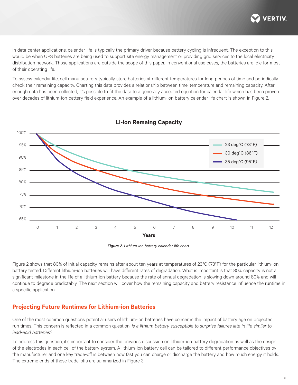

In data center applications, calendar life is typically the primary driver because battery cycling is infrequent. The exception to this would be when UPS batteries are being used to support site energy management or providing grid services to the local electricity distribution network. Those applications are outside the scope of this paper. In conventional use cases, the batteries are idle for most of their operating life.

To assess calendar life, cell manufacturers typically store batteries at different temperatures for long periods of time and periodically check their remaining capacity. Charting this data provides a relationship between time, temperature and remaining capacity. After enough data has been collected, it's possible to fit the data to a generally accepted equation for calendar life which has been proven over decades of lithium-ion battery field experience. An example of a lithium-ion battery calendar life chart is shown in Figure 2.



#### **Li-ion Remaing Capacity**

*Figure 2. Lithium-ion battery calendar life chart.*

Figure 2 shows that 80% of initial capacity remains after about ten years at temperatures of 23°C (73°F) for the particular lithium-ion battery tested. Different lithium-ion batteries will have different rates of degradation. What is important is that 80% capacity is not a significant milestone in the life of a lithium-ion battery because the rate of annual degradation is slowing down around 80% and will continue to degrade predictably. The next section will cover how the remaining capacity and battery resistance influence the runtime in a specific application.

### **Projecting Future Runtimes for Lithium-ion Batteries**

One of the most common questions potential users of lithium-ion batteries have concerns the impact of battery age on projected run times. This concern is reflected in a common question: *Is a lithium battery susceptible to surprise failures late in life similar to lead-acid batteries?*

To address this question, it's important to consider the previous discussion on lithium-ion battery degradation as well as the design of the electrodes in each cell of the battery system. A lithium-ion battery cell can be tailored to different performance objectives by the manufacturer and one key trade-off is between how fast you can charge or discharge the battery and how much energy it holds. The extreme ends of these trade-offs are summarized in Figure 3.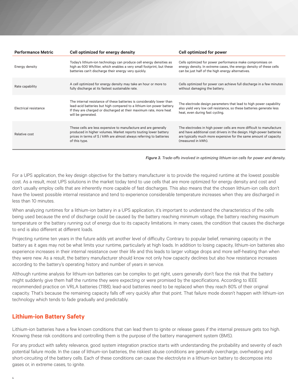| <b>Performance Metric</b> | Cell optimized for energy density                                                                                                                                                                                                          | Cell optimized for power                                                                                                                                                                                                                |
|---------------------------|--------------------------------------------------------------------------------------------------------------------------------------------------------------------------------------------------------------------------------------------|-----------------------------------------------------------------------------------------------------------------------------------------------------------------------------------------------------------------------------------------|
| Energy density            | Today's lithium-ion technology can produce cell energy densities as<br>high as 600 Wh/liter, which enables a very small footprint, but these<br>batteries can't discharge their energy very quickly.                                       | Cells optimized for power performance make compromises on<br>energy density. In extreme cases, the energy density of these cells<br>can be just half of the high energy alternatives.                                                   |
| Rate capability           | A cell optimized for energy density may take an hour or more to<br>fully discharge at its fastest sustainable rate.                                                                                                                        | Cells optimized for power can achieve full discharge in a few minutes<br>without damaging the battery.                                                                                                                                  |
| Electrical resistance     | The internal resistance of these batteries is considerably lower than<br>lead-acid batteries but high compared to a lithium-ion power battery.<br>If they are charged or discharged at their maximum rate, more heat<br>will be generated. | The electrode design parameters that lead to high power capability<br>also yield very low cell resistance, so these batteries generate less<br>heat, even during fast cycling.                                                          |
| Relative cost             | These cells are less expensive to manufacture and are generally<br>produced in higher volumes. Market reports touting lower battery<br>prices in terms of \$/kWh are almost always referring to batteries<br>of this type.                 | The electrodes in high power cells are more difficult to manufacture<br>and have additional cost drivers in the design. High-power batteries<br>are typically much more expensive for the same amount of capacity<br>(measured in kWh). |

*Figure 3. Trade-offs involved in optimizing lithium-ion cells for power and density.*

For a UPS application, the key design objective for the battery manufacturer is to provide the required runtime at the lowest possible cost. As a result, most UPS solutions in the market today tend to use cells that are more optimized for energy density and cost and don't usually employ cells that are inherently more capable of fast discharges. This also means that the chosen lithium-ion cells don't have the lowest possible internal resistance and tend to experience considerable temperature increases when they are discharged in less than 10 minutes.

When analyzing runtimes for a lithium-ion battery in a UPS application, it's important to understand the characteristics of the cells being used because the end of discharge could be caused by the battery reaching minimum voltage, the battery reaching maximum temperature or the battery running out of energy due to its capacity limitations. In many cases, the condition that causes the discharge to end is also different at different loads.

Projecting runtime ten years in the future adds yet another level of difficulty. Contrary to popular belief, remaining capacity in the battery as it ages may not be what limits your runtime, particularly at high loads. In addition to losing capacity, lithium-ion batteries also experience increases in their internal resistance over their life and this leads to larger voltage drops and more self-heating than when they were new. As a result, the battery manufacturer should know not only how capacity declines but also how resistance increases according to the battery's operating history and number of years in service.

Although runtime analysis for lithium-ion batteries can be complex to get right, users generally don't face the risk that the battery might suddenly give them half the runtime they were expecting or were promised by the specifications. According to IEEE recommended practice on VRLA batteries (1188), lead-acid batteries need to be replaced when they reach 80% of their original capacity. That's because the remaining capacity falls off very quickly after that point. That failure mode doesn't happen with lithium-ion technology which tends to fade gradually and predictably.

## **Lithium-ion Battery Safety**

Lithium-ion batteries have a few known conditions that can lead them to ignite or release gases if the internal pressure gets too high. Knowing these risk conditions and controlling them is the purpose of the battery management system (BMS).

For any product with safety relevance, good system integration practice starts with understanding the probability and severity of each potential failure mode. In the case of lithium-ion batteries, the riskiest abuse conditions are generally overcharge, overheating and short-circuiting of the battery cells. Each of these conditions can cause the electrolyte in a lithium-ion battery to decompose into gases or, in extreme cases, to ignite.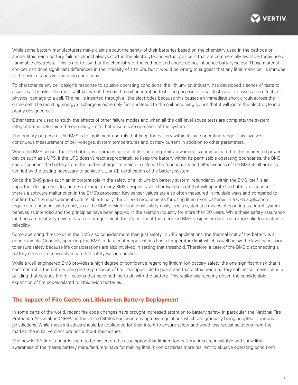

While some battery manufacturers make claims about the safety of their batteries based on the chemistry used in the cathode or anode, lithium-ion battery failures almost always start in the electrolyte and virtually all cells that are commercially available today use a flammable electrolyte. This is not to say that the chemistry of the cathode and anode do not influence battery safety. Those material choices can drive significant differences in the intensity of a failure, but it would be wrong to suggest that any lithium-ion cell is immune to the risks of abusive operating conditions.

To characterize any cell design's response to abusive operating conditions, the lithium-ion industry has developed a series of tests to assess safety risks. The most well-known of these is the nail penetration test. The purpose of a nail test is not to assess the effects of physical damage to a cell. The nail is inserted through all the electrodes because this causes an immediate short circuit across the entire cell. The resulting energy discharge is extremely fast and leads to the nail becoming so hot that it will ignite the electrolyte in a poorly designed cell.

Other tests are used to study the effects of other failure modes and when all the cell-level abuse tests are complete, the system integrator can determine the operating limits that ensure safe operation of the system.

The primary purpose of the BMS is to implement controls that keep the battery within its safe operating range. This involves continuous measurement of cell voltages, system temperatures and battery current in addition to other parameters.

When the BMS senses that the battery is approaching one of its operating limits, a warning is communicated to the connected power device such as a UPS. If the UPS doesn't react appropriately to keep the battery within its permissible operating boundaries, the BMS can disconnect the battery from the load or charger to maintain safety. The functionality and effectiveness of the BMS itself are also verified by the testing necessary to achieve UL or CE certification of the battery system.

Since the BMS plays such an important role in the safety of a lithium-ion battery system, redundancy within the BMS itself is an important design consideration. For example, many BMS designs have a hardware circuit that will operate the battery disconnect if there's a software malfunction in the BMS's processor. Key sensor values are also often measured in multiple ways and compared to confirm that the measurements are reliable. Finally, the UL1973 requirements for using lithium-ion batteries in a UPS application requires a functional safety analysis of the BMS design. Functional safety analysis is a systematic means of ensuring a control system behaves as intended and the principles have been applied in the aviation industry for more than 20 years. While these safety assurance methods are relatively new to data center equipment, there's no doubt that certified BMS designs are built on a very solid foundation of reliability.

Some operating thresholds in the BMS also consider more than just safety. In UPS applications, the thermal limit of the battery is a good example. Generally speaking, the BMS in data center applications has a temperature limit which is well below the level necessary to ensure safety because life considerations are also involved in setting that threshold. Therefore, a case of the BMS disconnecting a battery does not necessarily mean that safety was in question.

While a well-engineered BMS provides a high degree of confidence regarding lithium-ion battery safety, the one significant risk that it can't control is the battery being in the presence of fire. It's impossible to guarantee that a lithium-ion battery cabinet will never be in a building that catches fire for reasons that have nothing to do with the battery. This reality has recently driven the considerable expansion of fire codes related to lithium-ion batteries.

### **The Impact of Fire Codes on Lithium-ion Battery Deployment**

In some parts of the world, recent fire code changes have brought increased attention to battery safety. In particular, the National Fire Protection Association (NFPA) in the United States has been driving new regulations which are gradually being adopted in various jurisdictions. While these initiatives should be applauded for their intent to ensure safety and weed less robust solutions from the market, the initial versions are not without their issues.

The new NFPA fire standards seem to be based on the assumption that lithium-ion battery fires are inevitable and show little awareness of the means battery manufacturers have for making lithium-ion batteries more resilient to abusive operating conditions.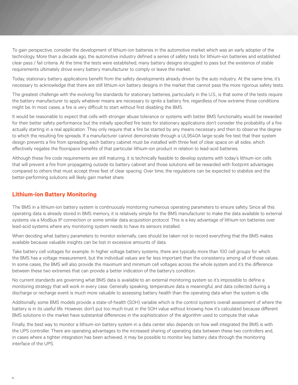To gain perspective, consider the development of lithium-ion batteries in the automotive market which was an early adopter of the technology. More than a decade ago, the automotive industry defined a series of safety tests for lithium-ion batteries and established clear pass / fail criteria. At the time the tests were established, many battery designs struggled to pass but the existence of stable requirements ultimately drove every battery manufacturer to comply or leave the market.

Today, stationary battery applications benefit from the safety developments already driven by the auto industry. At the same time, it's necessary to acknowledge that there are still lithium-ion battery designs in the market that cannot pass the more rigorous safety tests.

The greatest challenge with the evolving fire standards for stationary batteries, particularly in the U.S., is that some of the tests require the battery manufacturer to apply whatever means are necessary to ignite a battery fire, regardless of how extreme those conditions might be. In most cases, a fire is very difficult to start without first disabling the BMS.

It would be reasonable to expect that cells with stronger abuse tolerance or systems with better BMS functionality would be rewarded for their better safety performance but the initially specified fire tests for stationary applications don't consider the probability of a fire actually starting in a real application. They only require that a fire be started by any means necessary and then to observe the degree to which the resulting fire spreads. If a manufacturer cannot demonstrate through a UL9540A large-scale fire test that their system design prevents a fire from spreading, each battery cabinet must be installed with three feet of clear space on all sides, which effectively negates the floorspace benefits of that particular lithium-ion product in relation to lead-acid batteries.

Although these fire code requirements are still maturing, it is technically feasible to develop systems with today's lithium-ion cells that will prevent a fire from propagating outside its battery cabinet and those solutions will be rewarded with footprint advantages compared to others that must accept three feet of clear spacing. Over time, the regulations can be expected to stabilize and the better-performing solutions will likely gain market share.

### **Lithium-ion Battery Monitoring**

The BMS in a lithium-ion battery system is continuously monitoring numerous operating parameters to ensure safety. Since all this operating data is already stored in BMS memory, it is relatively simple for the BMS manufacturer to make the data available to external systems via a Modbus IP connection or some similar data acquisition protocol. This is a key advantage of lithium-ion batteries over lead-acid systems where any monitoring system needs to have its sensors installed.

When deciding what battery parameters to monitor externally, care should be taken not to record everything that the BMS makes available because valuable insights can be lost in excessive amounts of data.

Take battery cell voltages for example. In higher voltage battery systems, there are typically more than 100 cell groups for which the BMS has a voltage measurement, but the individual values are far less important than the consistency among all of those values. In some cases, the BMS will also provide the maximum and minimum cell voltages across the whole system and it's the difference between these two extremes that can provide a better indication of the battery's condition.

No current standards are governing what BMS data is available to an external monitoring system so it's impossible to define a monitoring strategy that will work in every case. Generally speaking, temperature data is meaningful, and data collected during a discharge or recharge event is much more valuable to assessing battery health than the operating data when the system is idle.

Additionally, some BMS models provide a state-of-health (SOH) variable which is the control system's overall assessment of where the battery is in its useful life. However, don't put too much trust in the SOH value without knowing how it's calculated because different BMS solutions in the market have substantial differences in the sophistication of the algorithm used to compute that value.

Finally, the best way to monitor a lithium-ion battery system in a data center also depends on how well integrated the BMS is with the UPS controller. There are operating advantages to the increased sharing of operating data between these two controllers and, in cases where a tighter integration has been achieved, it may be possible to monitor key battery data through the monitoring interface of the UPS.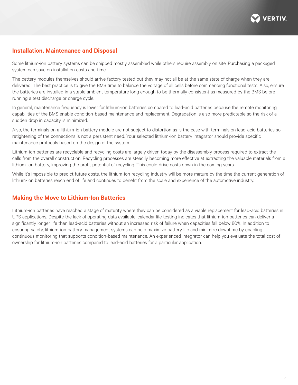

### **Installation, Maintenance and Disposal**

Some lithium-ion battery systems can be shipped mostly assembled while others require assembly on site. Purchasing a packaged system can save on installation costs and time.

The battery modules themselves should arrive factory tested but they may not all be at the same state of charge when they are delivered. The best practice is to give the BMS time to balance the voltage of all cells before commencing functional tests. Also, ensure the batteries are installed in a stable ambient temperature long enough to be thermally consistent as measured by the BMS before running a test discharge or charge cycle.

In general, maintenance frequency is lower for lithium-ion batteries compared to lead-acid batteries because the remote monitoring capabilities of the BMS enable condition-based maintenance and replacement. Degradation is also more predictable so the risk of a sudden drop in capacity is minimized.

Also, the terminals on a lithium-ion battery module are not subject to distortion as is the case with terminals on lead-acid batteries so retightening of the connections is not a persistent need. Your selected lithium-ion battery integrator should provide specific maintenance protocols based on the design of the system.

Lithium-ion batteries are recyclable and recycling costs are largely driven today by the disassembly process required to extract the cells from the overall construction. Recycling processes are steadily becoming more effective at extracting the valuable materials from a lithium-ion battery, improving the profit potential of recycling. This could drive costs down in the coming years.

While it's impossible to predict future costs, the lithium-ion recycling industry will be more mature by the time the current generation of lithium-ion batteries reach end of life and continues to benefit from the scale and experience of the automotive industry.

### **Making the Move to Lithium-Ion Batteries**

Lithium-ion batteries have reached a stage of maturity where they can be considered as a viable replacement for lead-acid batteries in UPS applications. Despite the lack of operating data available, calendar life testing indicates that lithium-ion batteries can deliver a significantly longer life than lead-acid batteries without an increased risk of failure when capacities fall below 80%. In addition to ensuring safety, lithium-ion battery management systems can help maximize battery life and minimize downtime by enabling continuous monitoring that supports condition-based maintenance. An experienced integrator can help you evaluate the total cost of ownership for lithium-ion batteries compared to lead-acid batteries for a particular application.